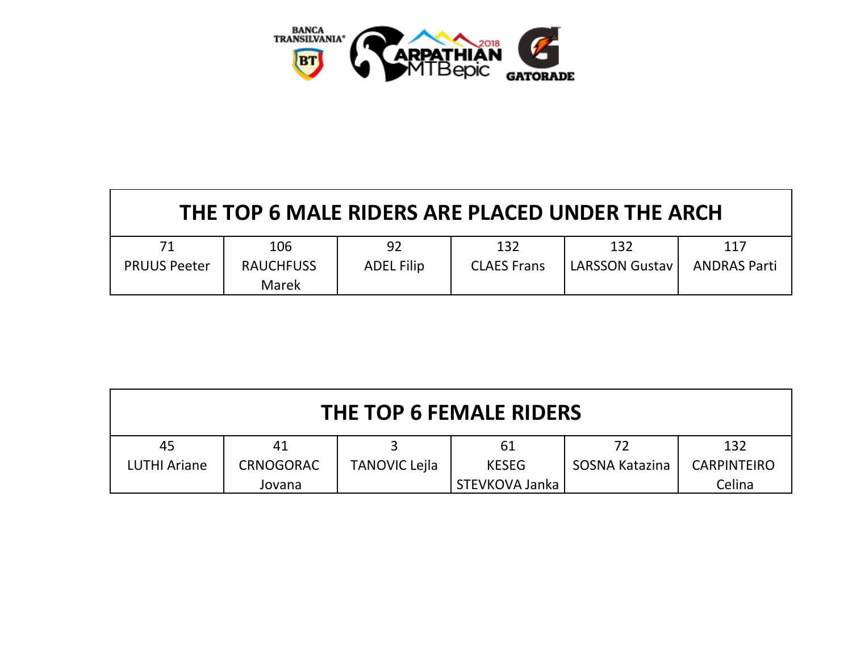

| THE TOP 6 MALE RIDERS ARE PLACED UNDER THE ARCH |                           |                   |                    |                       |                     |  |  |
|-------------------------------------------------|---------------------------|-------------------|--------------------|-----------------------|---------------------|--|--|
| 71                                              | 106                       | 92                | 132                | 132                   | 117                 |  |  |
| <b>PRUUS Peeter</b>                             | <b>RAUCHFUSS</b><br>Marek | <b>ADEL Filip</b> | <b>CLAES Frans</b> | <b>LARSSON Gustav</b> | <b>ANDRAS Parti</b> |  |  |

| THE TOP 6 FEMALE RIDERS |                  |                      |                |                |                    |  |  |
|-------------------------|------------------|----------------------|----------------|----------------|--------------------|--|--|
| 45                      | 41               |                      | 61             | 72             | 132                |  |  |
| <b>LUTHI Ariane</b>     | <b>CRNOGORAC</b> | <b>TANOVIC Lejla</b> | <b>KESEG</b>   | SOSNA Katazina | <b>CARPINTEIRO</b> |  |  |
|                         | Jovana           |                      | STEVKOVA Janka |                | Celina             |  |  |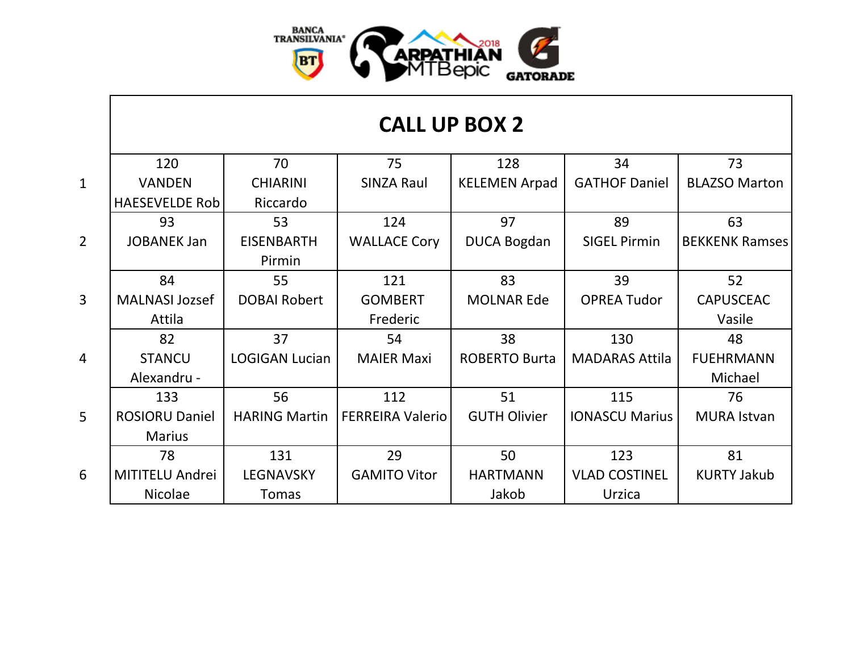

|                | 120                    | 70                    | 75                      | 128                  | 34                    | 73                    |
|----------------|------------------------|-----------------------|-------------------------|----------------------|-----------------------|-----------------------|
| $\mathbf{1}$   | <b>VANDEN</b>          | <b>CHIARINI</b>       | <b>SINZA Raul</b>       | <b>KELEMEN Arpad</b> | <b>GATHOF Daniel</b>  | <b>BLAZSO Marton</b>  |
|                | <b>HAESEVELDE Rob</b>  | Riccardo              |                         |                      |                       |                       |
|                | 93                     | 53                    | 124                     | 97                   | 89                    | 63                    |
| $\overline{2}$ | <b>JOBANEK Jan</b>     | <b>EISENBARTH</b>     | <b>WALLACE Cory</b>     | <b>DUCA Bogdan</b>   | <b>SIGEL Pirmin</b>   | <b>BEKKENK Ramses</b> |
|                |                        | Pirmin                |                         |                      |                       |                       |
|                | 84                     | 55                    | 121                     | 83                   | 39                    | 52                    |
| $\overline{3}$ | <b>MALNASI Jozsef</b>  | <b>DOBAI Robert</b>   | <b>GOMBERT</b>          | <b>MOLNAR Ede</b>    | <b>OPREA Tudor</b>    | <b>CAPUSCEAC</b>      |
|                | Attila                 |                       | Frederic                |                      |                       | Vasile                |
|                | 82                     | 37                    | 54                      | 38                   | 130                   | 48                    |
| $\overline{4}$ | <b>STANCU</b>          | <b>LOGIGAN Lucian</b> | <b>MAIER Maxi</b>       | <b>ROBERTO Burta</b> | <b>MADARAS Attila</b> | <b>FUEHRMANN</b>      |
|                | Alexandru -            |                       |                         |                      |                       | Michael               |
|                | 133                    | 56                    | 112                     | 51                   | 115                   | 76                    |
| 5              | <b>ROSIORU Daniel</b>  | <b>HARING Martin</b>  | <b>FERREIRA Valerio</b> | <b>GUTH Olivier</b>  | <b>IONASCU Marius</b> | <b>MURA Istvan</b>    |
|                | <b>Marius</b>          |                       |                         |                      |                       |                       |
|                | 78                     | 131                   | 29                      | 50                   | 123                   | 81                    |
| 6              | <b>MITITELU Andrei</b> | <b>LEGNAVSKY</b>      | <b>GAMITO Vitor</b>     | <b>HARTMANN</b>      | <b>VLAD COSTINEL</b>  | <b>KURTY Jakub</b>    |
|                | <b>Nicolae</b>         | Tomas                 |                         | Jakob                | Urzica                |                       |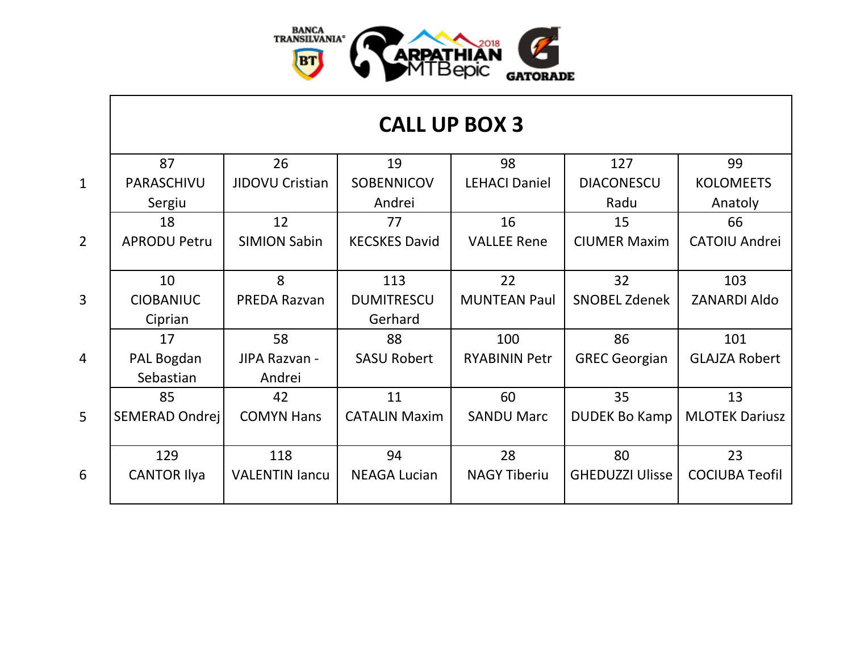

## **CALL UP BOX 3**

|                 | 87                  | 26                    | 19                   | 98                   | 127                    | 99                    |
|-----------------|---------------------|-----------------------|----------------------|----------------------|------------------------|-----------------------|
| $\mathbf{1}$    | PARASCHIVU          | JIDOVU Cristian       | <b>SOBENNICOV</b>    | <b>LEHACI Daniel</b> | <b>DIACONESCU</b>      | <b>KOLOMEETS</b>      |
|                 | Sergiu              |                       | Andrei               |                      | Radu                   | Anatoly               |
|                 | 18                  | 12                    | 77                   | 16                   | 15                     | 66                    |
| $\overline{2}$  | <b>APRODU Petru</b> | <b>SIMION Sabin</b>   | <b>KECSKES David</b> | <b>VALLEE Rene</b>   | <b>CIUMER Maxim</b>    | <b>CATOIU Andrei</b>  |
|                 |                     |                       |                      |                      |                        |                       |
|                 | 10                  | 8                     | 113                  | 22                   | 32                     | 103                   |
| $\overline{3}$  | <b>CIOBANIUC</b>    | <b>PREDA Razvan</b>   | <b>DUMITRESCU</b>    | <b>MUNTEAN Paul</b>  | <b>SNOBEL Zdenek</b>   | <b>ZANARDI Aldo</b>   |
|                 | Ciprian             |                       | Gerhard              |                      |                        |                       |
|                 | 17                  | 58                    | 88                   | 100                  | 86                     | 101                   |
| $\overline{4}$  | PAL Bogdan          | JIPA Razvan -         | <b>SASU Robert</b>   | <b>RYABININ Petr</b> | <b>GREC Georgian</b>   | <b>GLAJZA Robert</b>  |
|                 | Sebastian           | Andrei                |                      |                      |                        |                       |
|                 | 85                  | 42                    | 11                   | 60                   | 35                     | 13                    |
| $5\overline{)}$ | SEMERAD Ondrej      | <b>COMYN Hans</b>     | <b>CATALIN Maxim</b> | <b>SANDU Marc</b>    | <b>DUDEK Bo Kamp</b>   | <b>MLOTEK Dariusz</b> |
|                 |                     |                       |                      |                      |                        |                       |
|                 | 129                 | 118                   | 94                   | 28                   | 80                     | 23                    |
| 6               | <b>CANTOR Ilya</b>  | <b>VALENTIN lancu</b> | <b>NEAGA Lucian</b>  | <b>NAGY Tiberiu</b>  | <b>GHEDUZZI Ulisse</b> | <b>COCIUBA Teofil</b> |
|                 |                     |                       |                      |                      |                        |                       |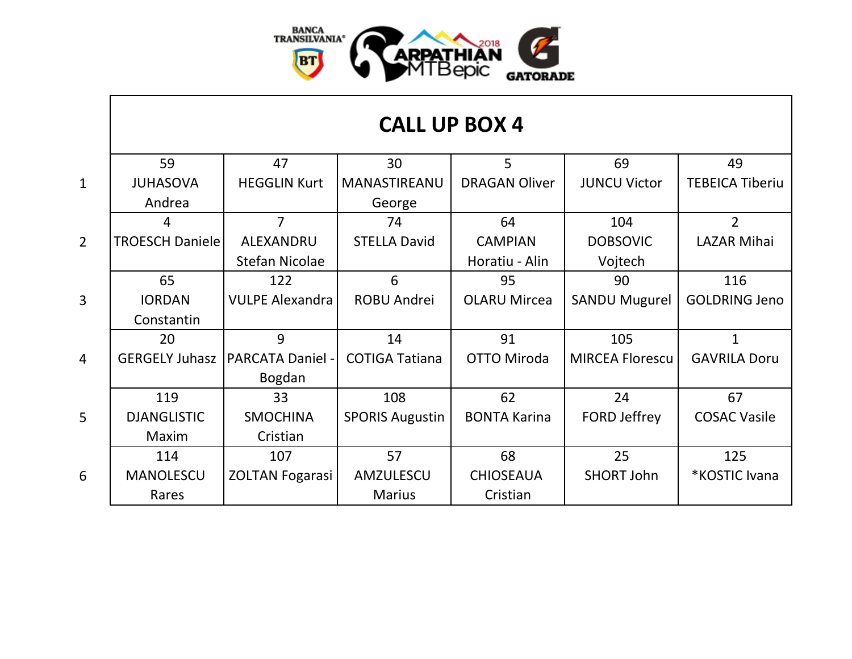

## **CALL UP BOX 4**

|                | 59                     | 47                     | 30                     | 5                    | 69                     | 49                     |
|----------------|------------------------|------------------------|------------------------|----------------------|------------------------|------------------------|
| $\mathbf{1}$   | <b>JUHASOVA</b>        | <b>HEGGLIN Kurt</b>    | MANASTIREANU           | <b>DRAGAN Oliver</b> | <b>JUNCU Victor</b>    | <b>TEBEICA Tiberiu</b> |
|                | Andrea                 |                        | George                 |                      |                        |                        |
|                | 4                      | 7                      | 74                     | 64                   | 104                    | $\overline{2}$         |
| $\overline{2}$ | <b>TROESCH Daniele</b> | ALEXANDRU              | <b>STELLA David</b>    | <b>CAMPIAN</b>       | <b>DOBSOVIC</b>        | <b>LAZAR Mihai</b>     |
|                |                        | <b>Stefan Nicolae</b>  |                        | Horatiu - Alin       | Vojtech                |                        |
|                | 65                     | 122                    | 6                      | 95                   | 90                     | 116                    |
| $\overline{3}$ | <b>IORDAN</b>          | <b>VULPE Alexandra</b> | <b>ROBU Andrei</b>     | <b>OLARU Mircea</b>  | <b>SANDU Mugurel</b>   | <b>GOLDRING Jeno</b>   |
|                | Constantin             |                        |                        |                      |                        |                        |
|                | 20                     | 9                      | 14                     | 91                   | 105                    | 1                      |
| $\overline{4}$ | <b>GERGELY Juhasz</b>  | PARCATA Daniel -       | <b>COTIGA Tatiana</b>  | <b>OTTO Miroda</b>   | <b>MIRCEA Florescu</b> | <b>GAVRILA Doru</b>    |
|                |                        | Bogdan                 |                        |                      |                        |                        |
|                | 119                    | 33                     | 108                    | 62                   | 24                     | 67                     |
| 5              | <b>DJANGLISTIC</b>     | <b>SMOCHINA</b>        | <b>SPORIS Augustin</b> | <b>BONTA Karina</b>  | <b>FORD Jeffrey</b>    | <b>COSAC Vasile</b>    |
|                | Maxim                  | Cristian               |                        |                      |                        |                        |
|                | 114                    | 107                    | 57                     | 68                   | 25                     | 125                    |
| 6              | <b>MANOLESCU</b>       | <b>ZOLTAN Fogarasi</b> | AMZULESCU              | <b>CHIOSEAUA</b>     | <b>SHORT John</b>      | *KOSTIC Ivana          |
|                | Rares                  |                        | <b>Marius</b>          | Cristian             |                        |                        |